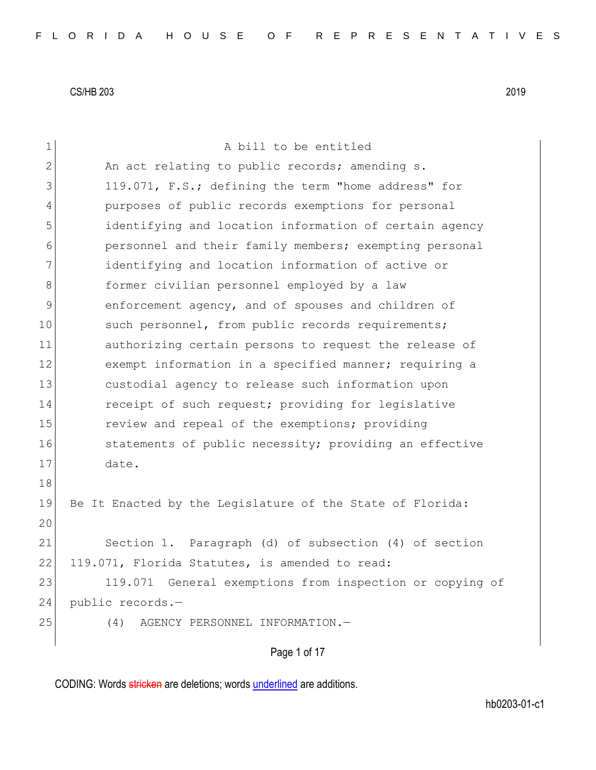| $\mathbf 1$    | A bill to be entitled                                       |  |  |  |  |  |  |  |  |
|----------------|-------------------------------------------------------------|--|--|--|--|--|--|--|--|
| $\mathbf{2}$   | An act relating to public records; amending s.              |  |  |  |  |  |  |  |  |
| 3              | 119.071, F.S.; defining the term "home address" for         |  |  |  |  |  |  |  |  |
| $\overline{4}$ | purposes of public records exemptions for personal          |  |  |  |  |  |  |  |  |
| 5              | identifying and location information of certain agency      |  |  |  |  |  |  |  |  |
| 6              | personnel and their family members; exempting personal      |  |  |  |  |  |  |  |  |
| 7              | identifying and location information of active or           |  |  |  |  |  |  |  |  |
| 8              | former civilian personnel employed by a law                 |  |  |  |  |  |  |  |  |
| 9              | enforcement agency, and of spouses and children of          |  |  |  |  |  |  |  |  |
| 10             | such personnel, from public records requirements;           |  |  |  |  |  |  |  |  |
| 11             | authorizing certain persons to request the release of       |  |  |  |  |  |  |  |  |
| 12             | exempt information in a specified manner; requiring a       |  |  |  |  |  |  |  |  |
| 13             | custodial agency to release such information upon           |  |  |  |  |  |  |  |  |
| 14             | receipt of such request; providing for legislative          |  |  |  |  |  |  |  |  |
| 15             | review and repeal of the exemptions; providing              |  |  |  |  |  |  |  |  |
| 16             | statements of public necessity; providing an effective      |  |  |  |  |  |  |  |  |
| 17             | date.                                                       |  |  |  |  |  |  |  |  |
| 18             |                                                             |  |  |  |  |  |  |  |  |
| 19             | Be It Enacted by the Legislature of the State of Florida:   |  |  |  |  |  |  |  |  |
| 20             |                                                             |  |  |  |  |  |  |  |  |
| 21             | Section 1. Paragraph (d) of subsection (4) of section       |  |  |  |  |  |  |  |  |
| 22             | 119.071, Florida Statutes, is amended to read:              |  |  |  |  |  |  |  |  |
| 23             | General exemptions from inspection or copying of<br>119.071 |  |  |  |  |  |  |  |  |
| 24             | public records.-                                            |  |  |  |  |  |  |  |  |
| 25             | (4)<br>AGENCY PERSONNEL INFORMATION.-                       |  |  |  |  |  |  |  |  |
|                | Page 1 of 17                                                |  |  |  |  |  |  |  |  |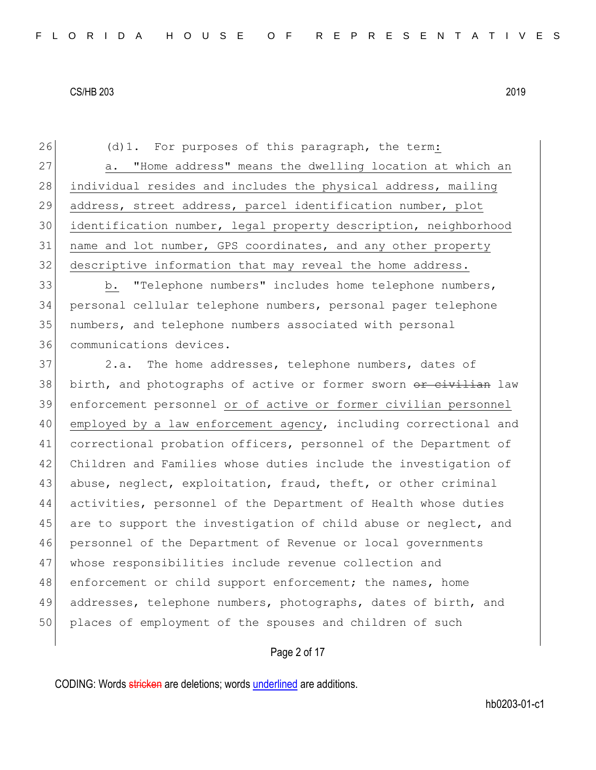(d)1. For purposes of this paragraph, the term: 27 a. "Home address" means the dwelling location at which an 28 individual resides and includes the physical address, mailing address, street address, parcel identification number, plot identification number, legal property description, neighborhood 31 | name and lot number, GPS coordinates, and any other property descriptive information that may reveal the home address. b. "Telephone numbers" includes home telephone numbers, personal cellular telephone numbers, personal pager telephone numbers, and telephone numbers associated with personal communications devices. 37 2.a. The home addresses, telephone numbers, dates of 38 birth, and photographs of active or former sworn or civilian law enforcement personnel or of active or former civilian personnel employed by a law enforcement agency, including correctional and correctional probation officers, personnel of the Department of Children and Families whose duties include the investigation of 43 abuse, neglect, exploitation, fraud, theft, or other criminal activities, personnel of the Department of Health whose duties 45 are to support the investigation of child abuse or neglect, and personnel of the Department of Revenue or local governments whose responsibilities include revenue collection and 48 enforcement or child support enforcement; the names, home addresses, telephone numbers, photographs, dates of birth, and 50 places of employment of the spouses and children of such

#### Page 2 of 17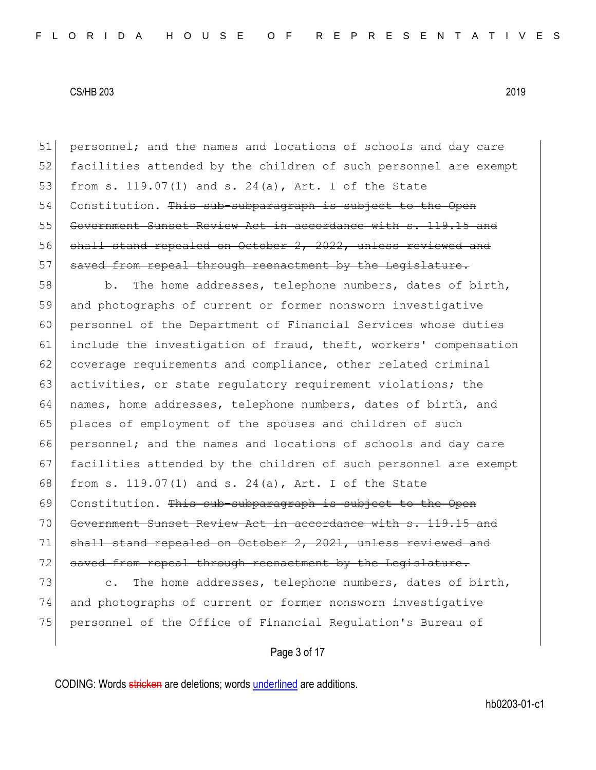51 personnel; and the names and locations of schools and day care 52 facilities attended by the children of such personnel are exempt 53 from s. 119.07(1) and s. 24(a), Art. I of the State 54 Constitution. This sub-subparagraph is subject to the Open 55 Government Sunset Review Act in accordance with s. 119.15 and 56 shall stand repealed on October 2, 2022, unless reviewed and 57 saved from repeal through reenactment by the Legislature.

58 b. The home addresses, telephone numbers, dates of birth, 59 and photographs of current or former nonsworn investigative 60 personnel of the Department of Financial Services whose duties 61 include the investigation of fraud, theft, workers' compensation 62 coverage requirements and compliance, other related criminal 63 activities, or state regulatory requirement violations; the 64 names, home addresses, telephone numbers, dates of birth, and 65 places of employment of the spouses and children of such 66 personnel; and the names and locations of schools and day care 67 facilities attended by the children of such personnel are exempt 68 from s. 119.07(1) and s. 24(a), Art. I of the State 69 Constitution. This sub-subparagraph is subject to the Open 70 Government Sunset Review Act in accordance with s. 119.15 and 71 shall stand repealed on October 2, 2021, unless reviewed and 72 saved from repeal through reenactment by the Legislature. 73 c. The home addresses, telephone numbers, dates of birth,

74 and photographs of current or former nonsworn investigative 75 personnel of the Office of Financial Regulation's Bureau of

Page 3 of 17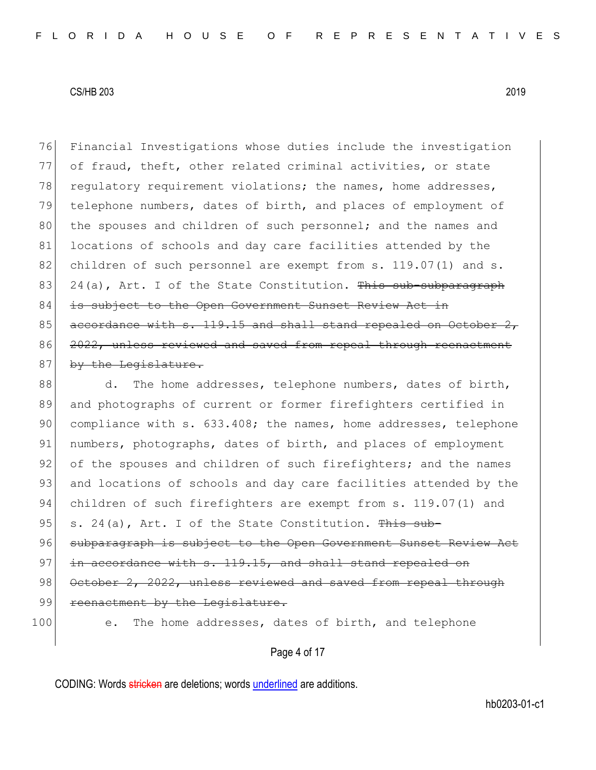76 Financial Investigations whose duties include the investigation 77 of fraud, theft, other related criminal activities, or state 78 regulatory requirement violations; the names, home addresses, 79 telephone numbers, dates of birth, and places of employment of 80 the spouses and children of such personnel; and the names and 81 locations of schools and day care facilities attended by the 82 children of such personnel are exempt from s. 119.07(1) and s. 83 24(a), Art. I of the State Constitution. This sub-subparagraph 84 is subject to the Open Government Sunset Review Act in 85 accordance with s. 119.15 and shall stand repealed on October 86 2022, unless reviewed and saved from repeal through reenactment 87 by the Legislature.

88 d. The home addresses, telephone numbers, dates of birth, 89 and photographs of current or former firefighters certified in 90 compliance with s. 633.408; the names, home addresses, telephone 91 numbers, photographs, dates of birth, and places of employment 92 of the spouses and children of such firefighters; and the names 93 and locations of schools and day care facilities attended by the 94 children of such firefighters are exempt from s. 119.07(1) and 95 s. 24(a), Art. I of the State Constitution. This sub-96 subparagraph is subject to the Open Government Sunset Review Act 97 in accordance with s. 119.15, and shall stand repealed on 98 October 2, 2022, unless reviewed and saved from repeal through 99 reenactment by the Legislature. 100 e. The home addresses, dates of birth, and telephone

Page 4 of 17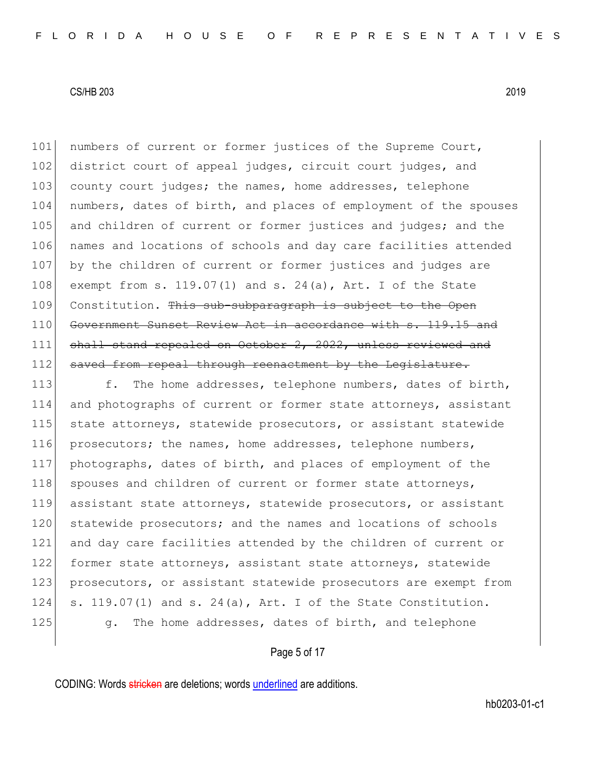101 | numbers of current or former justices of the Supreme Court, 102 district court of appeal judges, circuit court judges, and 103 county court judges; the names, home addresses, telephone 104 numbers, dates of birth, and places of employment of the spouses 105 and children of current or former justices and judges; and the 106 names and locations of schools and day care facilities attended 107 by the children of current or former justices and judges are 108 exempt from s. 119.07(1) and s. 24(a), Art. I of the State 109 Constitution. This sub-subparagraph is subject to the Open 110 Government Sunset Review Act in accordance with s. 119.15 and 111 shall stand repealed on October 2, 2022, unless reviewed and 112 saved from repeal through reenactment by the Legislature.

113 f. The home addresses, telephone numbers, dates of birth, 114 and photographs of current or former state attorneys, assistant 115 state attorneys, statewide prosecutors, or assistant statewide 116 prosecutors; the names, home addresses, telephone numbers, 117 photographs, dates of birth, and places of employment of the 118 spouses and children of current or former state attorneys, 119 assistant state attorneys, statewide prosecutors, or assistant 120 statewide prosecutors; and the names and locations of schools 121 and day care facilities attended by the children of current or 122 former state attorneys, assistant state attorneys, statewide 123 prosecutors, or assistant statewide prosecutors are exempt from 124 s. 119.07(1) and s. 24(a), Art. I of the State Constitution. 125 g. The home addresses, dates of birth, and telephone

Page 5 of 17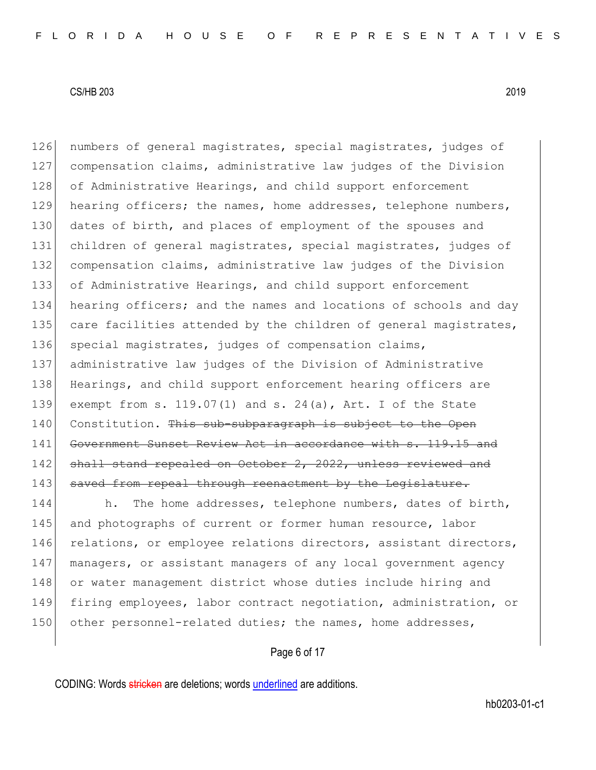126 numbers of general magistrates, special magistrates, judges of 127 compensation claims, administrative law judges of the Division 128 of Administrative Hearings, and child support enforcement 129 hearing officers; the names, home addresses, telephone numbers, 130 dates of birth, and places of employment of the spouses and 131 children of general magistrates, special magistrates, judges of 132 compensation claims, administrative law judges of the Division 133 of Administrative Hearings, and child support enforcement 134 hearing officers; and the names and locations of schools and day 135 care facilities attended by the children of general magistrates, 136 special magistrates, judges of compensation claims, 137 administrative law judges of the Division of Administrative 138 Hearings, and child support enforcement hearing officers are 139 exempt from s. 119.07(1) and s. 24(a), Art. I of the State 140 Constitution. This sub-subparagraph is subject to the Open 141 Government Sunset Review Act in accordance with s. 119.15 and 142 shall stand repealed on October 2, 2022, unless reviewed and 143 saved from repeal through reenactment by the Legislature.

144 h. The home addresses, telephone numbers, dates of birth, 145 and photographs of current or former human resource, labor 146 relations, or employee relations directors, assistant directors, 147 managers, or assistant managers of any local government agency 148 or water management district whose duties include hiring and 149 firing employees, labor contract negotiation, administration, or 150 other personnel-related duties; the names, home addresses,

Page 6 of 17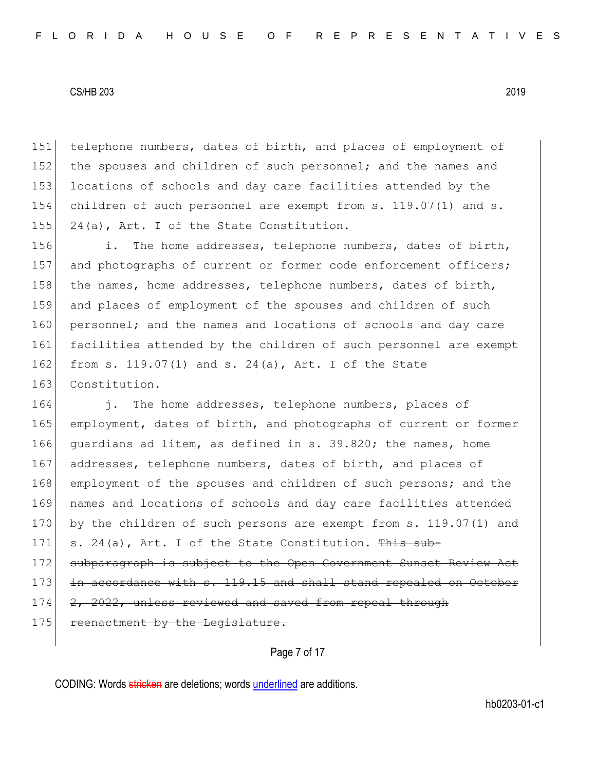151 telephone numbers, dates of birth, and places of employment of 152 the spouses and children of such personnel; and the names and 153 locations of schools and day care facilities attended by the 154 children of such personnel are exempt from s. 119.07(1) and s. 155 24(a), Art. I of the State Constitution.

156 i. The home addresses, telephone numbers, dates of birth, 157 and photographs of current or former code enforcement officers; 158 the names, home addresses, telephone numbers, dates of birth, 159 and places of employment of the spouses and children of such 160 personnel; and the names and locations of schools and day care 161 facilities attended by the children of such personnel are exempt 162 from s. 119.07(1) and s. 24(a), Art. I of the State 163 Constitution.

164 i. The home addresses, telephone numbers, places of 165 employment, dates of birth, and photographs of current or former 166 guardians ad litem, as defined in s. 39.820; the names, home 167 addresses, telephone numbers, dates of birth, and places of 168 employment of the spouses and children of such persons; and the 169 names and locations of schools and day care facilities attended 170 by the children of such persons are exempt from s. 119.07(1) and 171 s. 24(a), Art. I of the State Constitution.  $\frac{m}{s}$  sub-172 subparagraph is subject to the Open Government Sunset Review Act 173 in accordance with s. 119.15 and shall stand repealed on October 174 2, 2022, unless reviewed and saved from repeal through 175 reenactment by the Legislature.

Page 7 of 17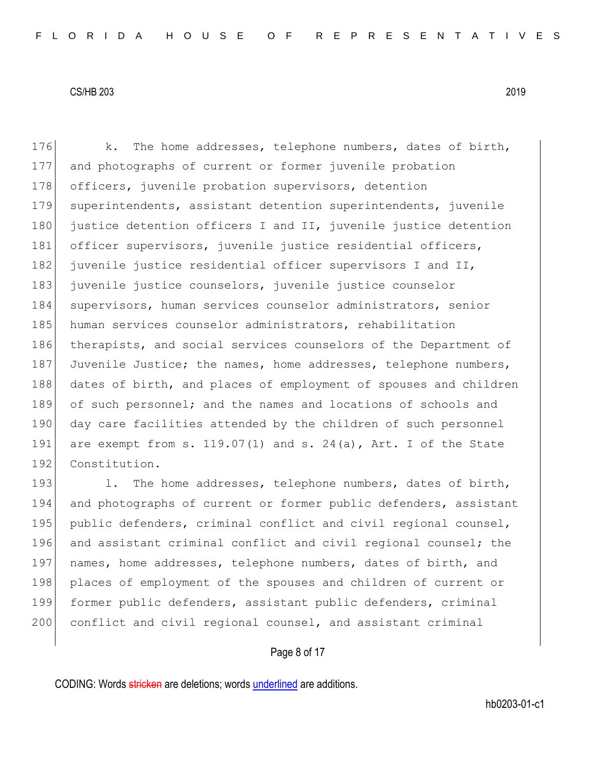176 k. The home addresses, telephone numbers, dates of birth, 177 and photographs of current or former juvenile probation 178 officers, juvenile probation supervisors, detention 179 superintendents, assistant detention superintendents, juvenile 180 justice detention officers I and II, juvenile justice detention 181 officer supervisors, juvenile justice residential officers, 182 juvenile justice residential officer supervisors I and II, 183 juvenile justice counselors, juvenile justice counselor 184 supervisors, human services counselor administrators, senior 185 human services counselor administrators, rehabilitation 186 therapists, and social services counselors of the Department of 187 Juvenile Justice; the names, home addresses, telephone numbers, 188 dates of birth, and places of employment of spouses and children 189 of such personnel; and the names and locations of schools and 190 day care facilities attended by the children of such personnel 191 are exempt from s.  $119.07(1)$  and s.  $24(a)$ , Art. I of the State 192 Constitution.

193 1. The home addresses, telephone numbers, dates of birth, 194 and photographs of current or former public defenders, assistant 195 public defenders, criminal conflict and civil regional counsel, 196 and assistant criminal conflict and civil regional counsel; the 197 names, home addresses, telephone numbers, dates of birth, and 198 places of employment of the spouses and children of current or 199 former public defenders, assistant public defenders, criminal 200 conflict and civil regional counsel, and assistant criminal

# Page 8 of 17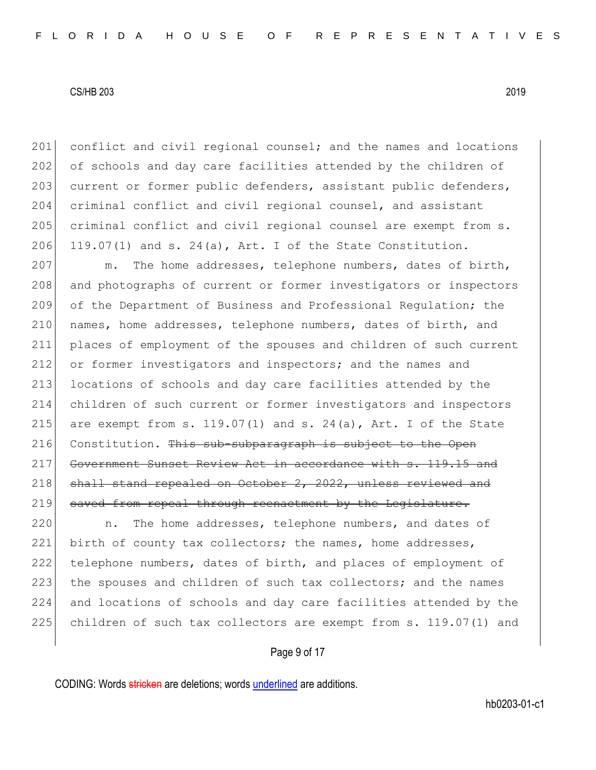201 conflict and civil regional counsel; and the names and locations 202 of schools and day care facilities attended by the children of 203 current or former public defenders, assistant public defenders, 204 criminal conflict and civil regional counsel, and assistant 205 criminal conflict and civil regional counsel are exempt from s. 206 119.07(1) and s. 24(a), Art. I of the State Constitution.

207 m. The home addresses, telephone numbers, dates of birth, 208 and photographs of current or former investigators or inspectors 209 of the Department of Business and Professional Regulation; the 210 names, home addresses, telephone numbers, dates of birth, and 211 places of employment of the spouses and children of such current 212 or former investigators and inspectors; and the names and 213 locations of schools and day care facilities attended by the 214 children of such current or former investigators and inspectors 215 are exempt from s. 119.07(1) and s. 24(a), Art. I of the State 216 Constitution. This sub-subparagraph is subject to the Open 217 Government Sunset Review Act in accordance with s. 119.15 and 218 shall stand repealed on October 2, 2022, unless reviewed and 219 saved from repeal through reenactment by the Legislature.

220 n. The home addresses, telephone numbers, and dates of 221 birth of county tax collectors; the names, home addresses, 222 telephone numbers, dates of birth, and places of employment of 223 the spouses and children of such tax collectors; and the names 224 and locations of schools and day care facilities attended by the 225 children of such tax collectors are exempt from s. 119.07(1) and

Page 9 of 17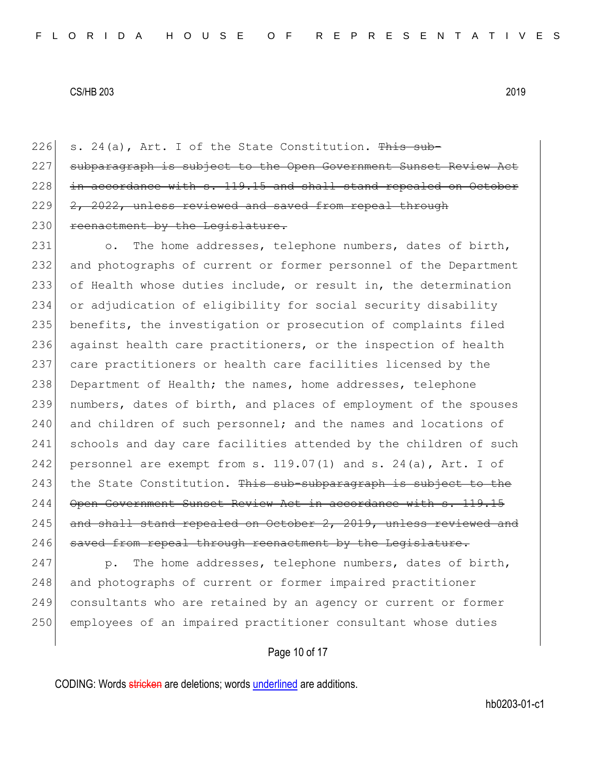226 s. 24(a), Art. I of the State Constitution.  $\frac{m}{s}$  sub- $227$  subparagraph is subject to the Open Government Sunset Revi  $228$  in accordance with s. 119.15 and shall stand repealed on October 229 2, 2022, unless reviewed and saved from repeal through 230 reenactment by the Legislature.

231 o. The home addresses, telephone numbers, dates of birth, 232 and photographs of current or former personnel of the Department 233 of Health whose duties include, or result in, the determination 234 or adjudication of eligibility for social security disability 235 benefits, the investigation or prosecution of complaints filed 236 against health care practitioners, or the inspection of health 237 care practitioners or health care facilities licensed by the 238 Department of Health; the names, home addresses, telephone 239 numbers, dates of birth, and places of employment of the spouses 240 and children of such personnel; and the names and locations of 241 schools and day care facilities attended by the children of such 242 personnel are exempt from s.  $119.07(1)$  and s.  $24(a)$ , Art. I of 243 the State Constitution. This sub-subparagraph is subject to the 244 Open Government Sunset Review Act in accordance with s. 245 and shall stand repealed on October 2, 2019, unless reviewed and 246 saved from repeal through reenactment by the Legislature.

 $\vert$  p. The home addresses, telephone numbers, dates of birth, 248 and photographs of current or former impaired practitioner consultants who are retained by an agency or current or former employees of an impaired practitioner consultant whose duties

Page 10 of 17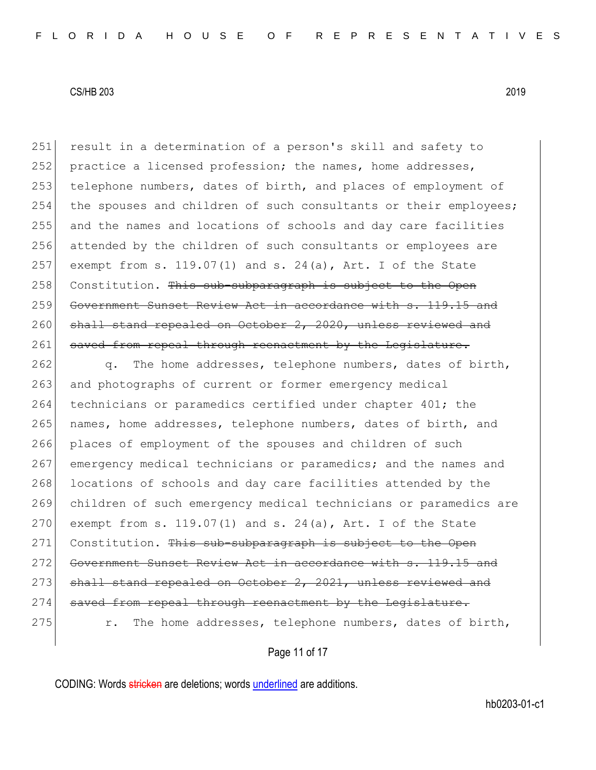251 result in a determination of a person's skill and safety to 252 practice a licensed profession; the names, home addresses, 253 telephone numbers, dates of birth, and places of employment of 254 the spouses and children of such consultants or their employees; 255 and the names and locations of schools and day care facilities 256 attended by the children of such consultants or employees are 257 exempt from s. 119.07(1) and s. 24(a), Art. I of the State 258 Constitution. This sub-subparagraph is subject to the Open 259 Government Sunset Review Act in accordance with s. 119.15 and 260 shall stand repealed on October 2, 2020, unless reviewed and 261 saved from repeal through reenactment by the Legislature.

262 q. The home addresses, telephone numbers, dates of birth, 263 and photographs of current or former emergency medical 264 technicians or paramedics certified under chapter 401; the 265 names, home addresses, telephone numbers, dates of birth, and 266 places of employment of the spouses and children of such 267 emergency medical technicians or paramedics; and the names and 268 locations of schools and day care facilities attended by the 269 children of such emergency medical technicians or paramedics are 270 exempt from s. 119.07(1) and s. 24(a), Art. I of the State 271 Constitution. This sub-subparagraph is subject to the Open 272 Government Sunset Review Act in accordance with s. 119.15 and 273 shall stand repealed on October 2, 2021, unless reviewed and 274 saved from repeal through reenactment by the Legislature. 275 can r. The home addresses, telephone numbers, dates of birth,

Page 11 of 17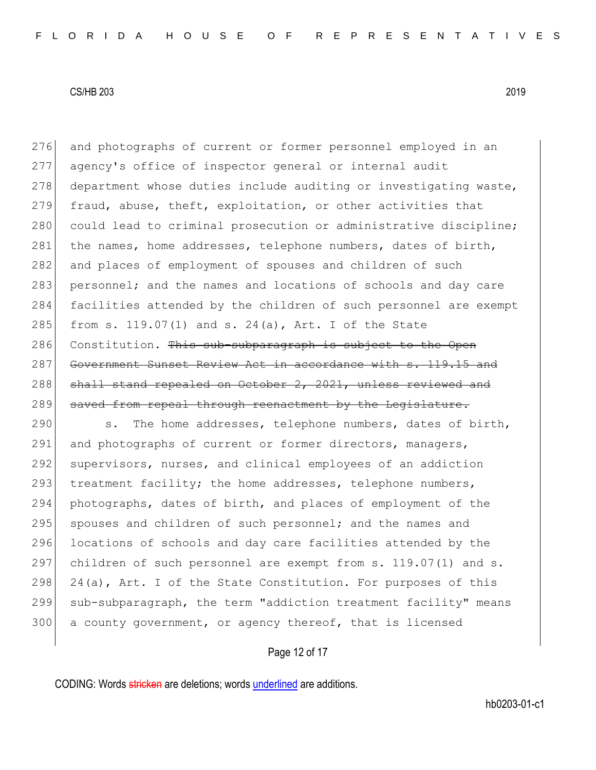276 and photographs of current or former personnel employed in an 277 agency's office of inspector general or internal audit 278 department whose duties include auditing or investigating waste, 279 fraud, abuse, theft, exploitation, or other activities that 280 could lead to criminal prosecution or administrative discipline; 281 the names, home addresses, telephone numbers, dates of birth, 282 and places of employment of spouses and children of such 283 personnel; and the names and locations of schools and day care 284 facilities attended by the children of such personnel are exempt 285 from s. 119.07(1) and s. 24(a), Art. I of the State 286 Constitution. This sub-subparagraph is subject to the Open 287 Government Sunset Review Act in accordance with s. 119.15 and 288 shall stand repealed on October 2, 2021, unless reviewed and 289 saved from repeal through reenactment by the Legislature.

290 s. The home addresses, telephone numbers, dates of birth, 291 and photographs of current or former directors, managers, 292 supervisors, nurses, and clinical employees of an addiction 293  $|$  treatment facility; the home addresses, telephone numbers, 294 photographs, dates of birth, and places of employment of the 295 spouses and children of such personnel; and the names and 296 locations of schools and day care facilities attended by the 297 children of such personnel are exempt from s. 119.07(1) and s. 298 24(a), Art. I of the State Constitution. For purposes of this 299 sub-subparagraph, the term "addiction treatment facility" means 300 a county government, or agency thereof, that is licensed

Page 12 of 17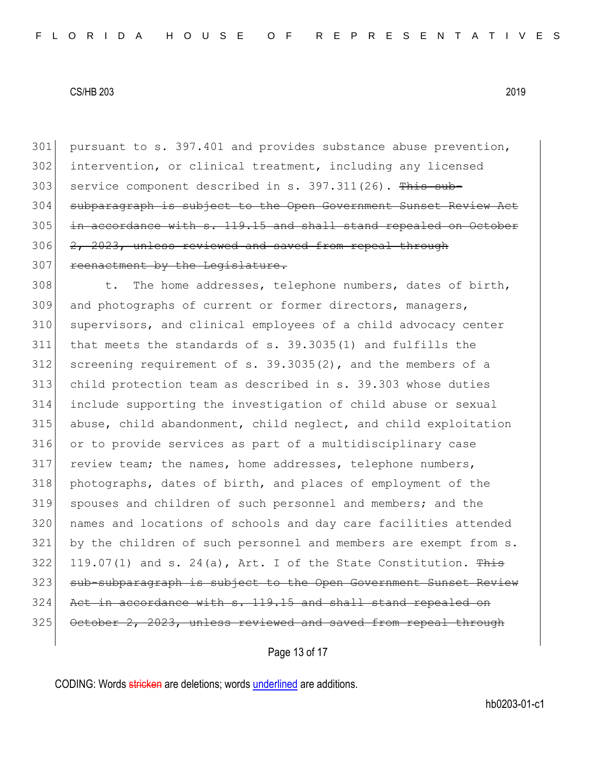301 pursuant to s. 397.401 and provides substance abuse prevention, 302 intervention, or clinical treatment, including any licensed 303 service component described in s. 397.311(26). This sub-304 subparagraph is subject to the Open Government Sunset Review  $305$  in accordance with s. 119.15 and shall stand repealed on October 306 2, 2023, unless reviewed and saved from repeal through 307 reenactment by the Legislature.

308 t. The home addresses, telephone numbers, dates of birth, and photographs of current or former directors, managers, supervisors, and clinical employees of a child advocacy center that meets the standards of s. 39.3035(1) and fulfills the screening requirement of s. 39.3035(2), and the members of a child protection team as described in s. 39.303 whose duties include supporting the investigation of child abuse or sexual abuse, child abandonment, child neglect, and child exploitation or to provide services as part of a multidisciplinary case review team; the names, home addresses, telephone numbers, photographs, dates of birth, and places of employment of the spouses and children of such personnel and members; and the names and locations of schools and day care facilities attended by the children of such personnel and members are exempt from s. 322 119.07(1) and s. 24(a),  $Art. I$  of the State Constitution. This 323 sub-subparagraph is subject to the Open Government Sunset Review Act in accordance with s. 119.15 and shall stand repealed on 325 October 2, 2023, unless reviewed and saved from repeal through

Page 13 of 17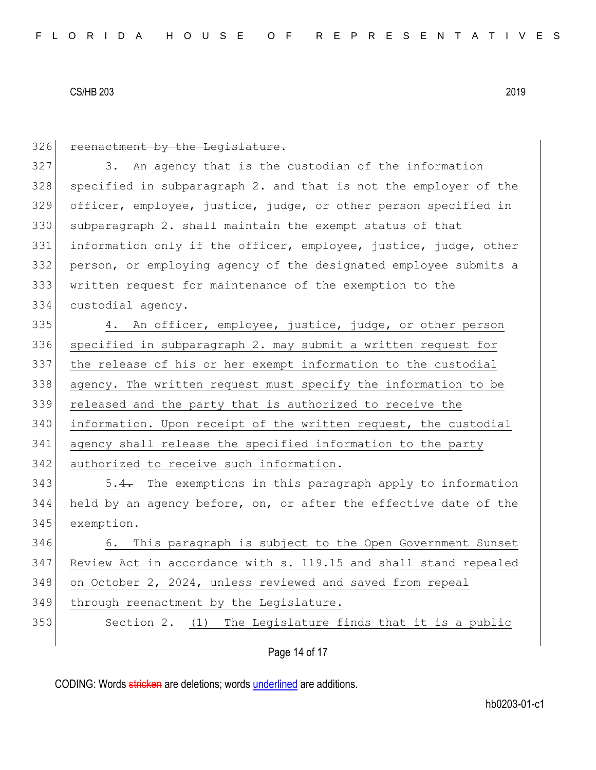| 326 | reenactment by the Legislature.                                  |  |  |  |  |  |  |  |
|-----|------------------------------------------------------------------|--|--|--|--|--|--|--|
| 327 | 3. An agency that is the custodian of the information            |  |  |  |  |  |  |  |
| 328 | specified in subparagraph 2. and that is not the employer of the |  |  |  |  |  |  |  |
| 329 | officer, employee, justice, judge, or other person specified in  |  |  |  |  |  |  |  |
| 330 | subparagraph 2. shall maintain the exempt status of that         |  |  |  |  |  |  |  |
| 331 | information only if the officer, employee, justice, judge, other |  |  |  |  |  |  |  |
| 332 | person, or employing agency of the designated employee submits a |  |  |  |  |  |  |  |
| 333 | written request for maintenance of the exemption to the          |  |  |  |  |  |  |  |
| 334 | custodial agency.                                                |  |  |  |  |  |  |  |
| 335 | 4. An officer, employee, justice, judge, or other person         |  |  |  |  |  |  |  |
| 336 | specified in subparagraph 2. may submit a written request for    |  |  |  |  |  |  |  |
| 337 | the release of his or her exempt information to the custodial    |  |  |  |  |  |  |  |
| 338 | agency. The written request must specify the information to be   |  |  |  |  |  |  |  |
| 339 | released and the party that is authorized to receive the         |  |  |  |  |  |  |  |
| 340 | information. Upon receipt of the written request, the custodial  |  |  |  |  |  |  |  |
| 341 | agency shall release the specified information to the party      |  |  |  |  |  |  |  |
| 342 | authorized to receive such information.                          |  |  |  |  |  |  |  |
| 343 | 5.4. The exemptions in this paragraph apply to information       |  |  |  |  |  |  |  |
| 344 | held by an agency before, on, or after the effective date of the |  |  |  |  |  |  |  |
| 345 | exemption.                                                       |  |  |  |  |  |  |  |
| 346 | 6. This paragraph is subject to the Open Government Sunset       |  |  |  |  |  |  |  |
| 347 | Review Act in accordance with s. 119.15 and shall stand repealed |  |  |  |  |  |  |  |
| 348 | on October 2, 2024, unless reviewed and saved from repeal        |  |  |  |  |  |  |  |
| 349 | through reenactment by the Legislature.                          |  |  |  |  |  |  |  |
| 350 | Section 2. (1) The Legislature finds that it is a public         |  |  |  |  |  |  |  |
|     |                                                                  |  |  |  |  |  |  |  |

# Page 14 of 17

CODING: Words stricken are deletions; words underlined are additions.

hb0203-01-c1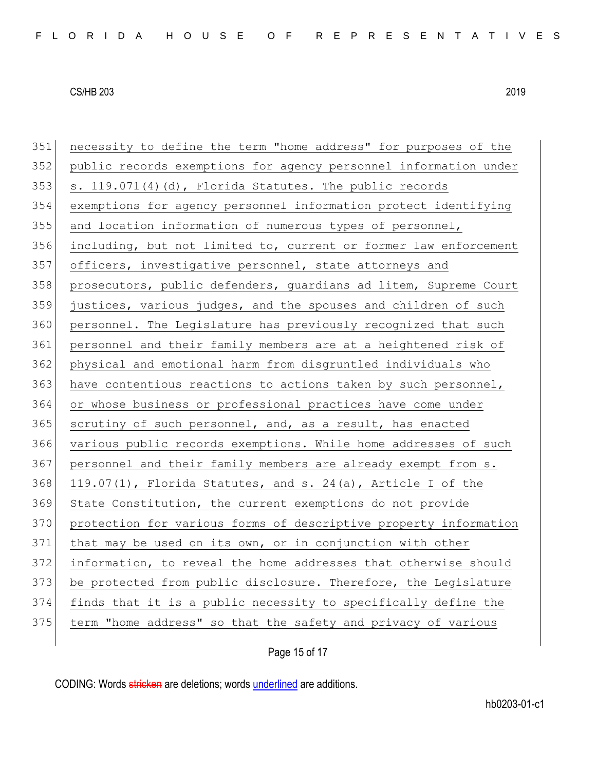| 351 | necessity to define the term "home address" for purposes of the  |  |  |  |  |  |  |  |
|-----|------------------------------------------------------------------|--|--|--|--|--|--|--|
| 352 | public records exemptions for agency personnel information under |  |  |  |  |  |  |  |
| 353 | s. 119.071(4)(d), Florida Statutes. The public records           |  |  |  |  |  |  |  |
| 354 | exemptions for agency personnel information protect identifying  |  |  |  |  |  |  |  |
| 355 | and location information of numerous types of personnel,         |  |  |  |  |  |  |  |
| 356 | including, but not limited to, current or former law enforcement |  |  |  |  |  |  |  |
| 357 | officers, investigative personnel, state attorneys and           |  |  |  |  |  |  |  |
| 358 | prosecutors, public defenders, guardians ad litem, Supreme Court |  |  |  |  |  |  |  |
| 359 | justices, various judges, and the spouses and children of such   |  |  |  |  |  |  |  |
| 360 | personnel. The Legislature has previously recognized that such   |  |  |  |  |  |  |  |
| 361 | personnel and their family members are at a heightened risk of   |  |  |  |  |  |  |  |
| 362 | physical and emotional harm from disgruntled individuals who     |  |  |  |  |  |  |  |
| 363 | have contentious reactions to actions taken by such personnel,   |  |  |  |  |  |  |  |
| 364 | or whose business or professional practices have come under      |  |  |  |  |  |  |  |
| 365 | scrutiny of such personnel, and, as a result, has enacted        |  |  |  |  |  |  |  |
| 366 | various public records exemptions. While home addresses of such  |  |  |  |  |  |  |  |
| 367 | personnel and their family members are already exempt from s.    |  |  |  |  |  |  |  |
| 368 | 119.07(1), Florida Statutes, and s. 24(a), Article I of the      |  |  |  |  |  |  |  |
| 369 | State Constitution, the current exemptions do not provide        |  |  |  |  |  |  |  |
| 370 | protection for various forms of descriptive property information |  |  |  |  |  |  |  |
| 371 | that may be used on its own, or in conjunction with other        |  |  |  |  |  |  |  |
| 372 | information, to reveal the home addresses that otherwise should  |  |  |  |  |  |  |  |
| 373 | be protected from public disclosure. Therefore, the Legislature  |  |  |  |  |  |  |  |
| 374 | finds that it is a public necessity to specifically define the   |  |  |  |  |  |  |  |
| 375 | term "home address" so that the safety and privacy of various    |  |  |  |  |  |  |  |
|     |                                                                  |  |  |  |  |  |  |  |

Page 15 of 17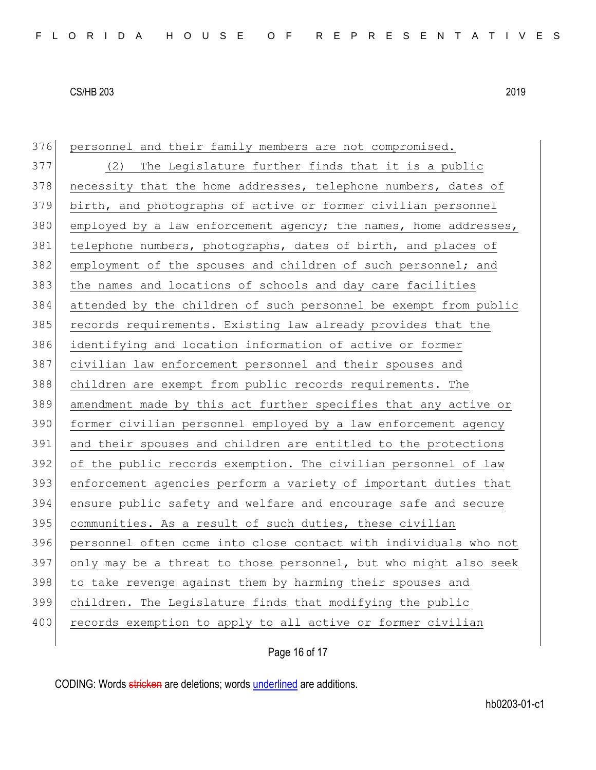| 376 | personnel and their family members are not compromised.          |  |  |  |  |  |  |  |
|-----|------------------------------------------------------------------|--|--|--|--|--|--|--|
| 377 | The Legislature further finds that it is a public<br>(2)         |  |  |  |  |  |  |  |
| 378 | necessity that the home addresses, telephone numbers, dates of   |  |  |  |  |  |  |  |
| 379 | birth, and photographs of active or former civilian personnel    |  |  |  |  |  |  |  |
| 380 | employed by a law enforcement agency; the names, home addresses, |  |  |  |  |  |  |  |
| 381 | telephone numbers, photographs, dates of birth, and places of    |  |  |  |  |  |  |  |
| 382 | employment of the spouses and children of such personnel; and    |  |  |  |  |  |  |  |
| 383 | the names and locations of schools and day care facilities       |  |  |  |  |  |  |  |
| 384 | attended by the children of such personnel be exempt from public |  |  |  |  |  |  |  |
| 385 | records requirements. Existing law already provides that the     |  |  |  |  |  |  |  |
| 386 | identifying and location information of active or former         |  |  |  |  |  |  |  |
| 387 | civilian law enforcement personnel and their spouses and         |  |  |  |  |  |  |  |
| 388 | children are exempt from public records requirements. The        |  |  |  |  |  |  |  |
| 389 | amendment made by this act further specifies that any active or  |  |  |  |  |  |  |  |
| 390 | former civilian personnel employed by a law enforcement agency   |  |  |  |  |  |  |  |
| 391 | and their spouses and children are entitled to the protections   |  |  |  |  |  |  |  |
| 392 | of the public records exemption. The civilian personnel of law   |  |  |  |  |  |  |  |
| 393 | enforcement agencies perform a variety of important duties that  |  |  |  |  |  |  |  |
| 394 | ensure public safety and welfare and encourage safe and secure   |  |  |  |  |  |  |  |
| 395 | communities. As a result of such duties, these civilian          |  |  |  |  |  |  |  |
| 396 | personnel often come into close contact with individuals who not |  |  |  |  |  |  |  |
| 397 | only may be a threat to those personnel, but who might also seek |  |  |  |  |  |  |  |
| 398 | to take revenge against them by harming their spouses and        |  |  |  |  |  |  |  |
| 399 | children. The Legislature finds that modifying the public        |  |  |  |  |  |  |  |
| 400 | records exemption to apply to all active or former civilian      |  |  |  |  |  |  |  |
|     |                                                                  |  |  |  |  |  |  |  |

Page 16 of 17